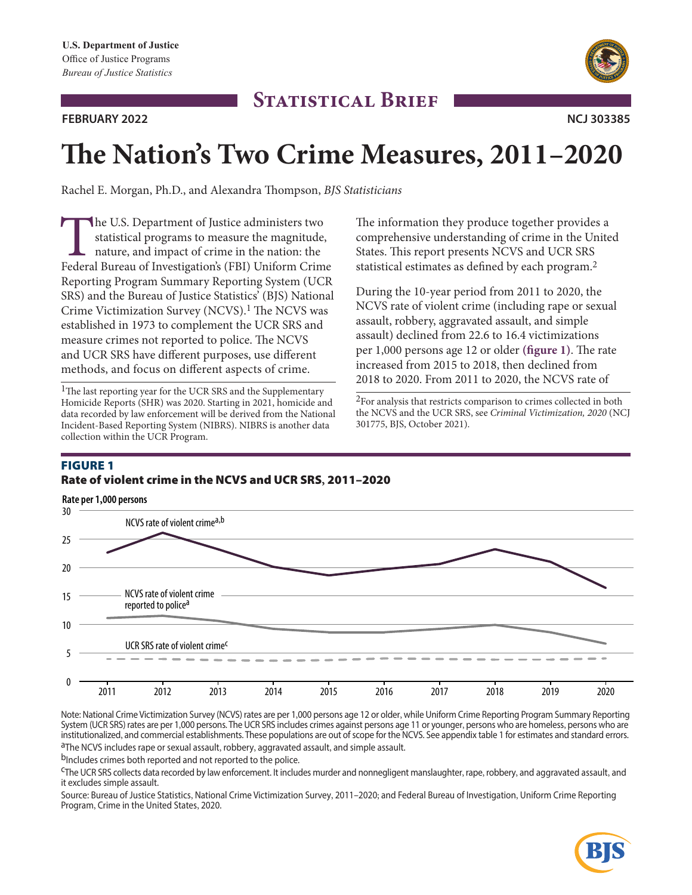## **FEBRUARY 2022 NCJ 303385**



# **The Nation's Two Crime Measures, 2011–2020**

**STATISTICAL BRIEF** 

Rachel E. Morgan, Ph.D., and Alexandra Thompson, *BJS Statisticians* 

The U.S. Department of Justice administers two<br>statistical programs to measure the magnitude,<br>nature, and impact of crime in the nation: the<br>Federal Bureau of Investigation's (FBI) Uniform Crim statistical programs to measure the magnitude, nature, and impact of crime in the nation: the Federal Bureau of Investigation's (FBI) Uniform Crime Reporting Program Summary Reporting System (UCR SRS) and the Bureau of Justice Statistics' (BJS) National Crime Victimization Survey (NCVS).1 The NCVS was established in 1973 to complement the UCR SRS and measure crimes not reported to police. The NCVS and UCR SRS have different purposes, use different methods, and focus on different aspects of crime.

<sup>1</sup>The last reporting year for the UCR SRS and the Supplementary Homicide Reports (SHR) was 2020. Starting in 2021, homicide and data recorded by law enforcement will be derived from the National Incident-Based Reporting System (NIBRS). NIBRS is another data collection within the UCR Program.

The information they produce together provides a comprehensive understanding of crime in the United States. This report presents NCVS and UCR SRS statistical estimates as defined by each program.2

During the 10-year period from 2011 to 2020, the NCVS rate of violent crime (including rape or sexual assault, robbery, aggravated assault, and simple assault) declined from 22.6 to 16.4 victimizations per 1,000 persons age 12 or older **(figure 1)**. The rate increased from 2015 to 2018, then declined from 2018 to 2020. From 2011 to 2020, the NCVS rate of

2For analysis that restricts comparison to crimes collected in both the NCVS and the UCR SRS, see *Criminal Victimization, 2020* (NCJ 301775, BJS, October 2021).

# **FIGURE 1** rate of violent crime in the NCVS and uCr SrS**,** 2011–2020



Note: National Crime Victimization Survey (NCVS) rates are per 1,000 persons age 12 or older, while Uniform Crime Reporting Program Summary Reporting System (UCR SRS) rates are per 1,000 persons. The UCR SRS includes crimes against persons age 11 or younger, persons who are homeless, persons who are institutionalized, and commercial establishments. These populations are out of scope for the NCVS. See appendix table 1 for estimates and standard errors.<br><sup>a</sup>The NCVS includes rape or sexual assault, robbery, aggravated as

bIncludes crimes both reported and not reported to the police.

cThe UCR SRS collects data recorded by law enforcement. It includes murder and nonnegligent manslaughter, rape, robbery, and aggravated assault, and it excludes simple assault.

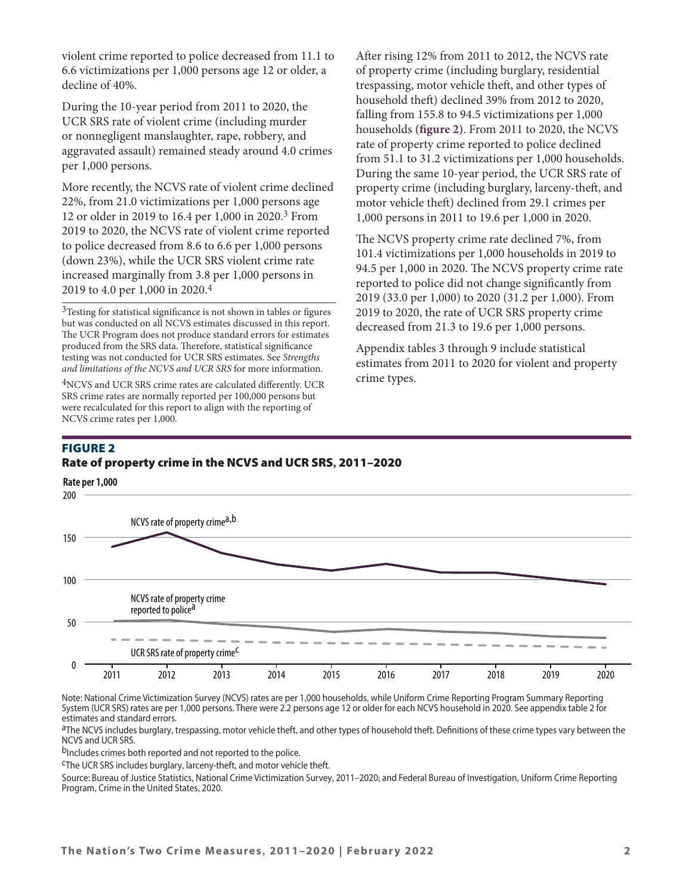violent crime reported to police decreased from 11.1 to 6.6 victimizations per 1,000 persons age 12 or older, a decline of 40%.

During the 10-year period from 2011 to 2020, the UCR SRS rate of violent crime (including murder or nonnegligent manslaughter, rape, robbery, and aggravated assault) remained steady around 4.0 crimes per 1,000 persons.

More recently, the NCVS rate of violent crime declined 22%, from 21.0 victimizations per 1,000 persons age 12 or older in 2019 to 16.4 per 1,000 in 2020.3 From 2019 to 2020, the NCVS rate of violent crime reported to police decreased from 8.6 to 6.6 per 1,000 persons (down 23%), while the UCR SRS violent crime rate increased marginally from 3.8 per 1,000 persons in 2019 to 4.0 per 1,000 in 2020.4

<sup>3</sup>Testing for statistical significance is not shown in tables or figures but was conducted on all NCVS estimates discussed in this report. The UCR Program does not produce standard errors for estimates produced from the SRS data. Therefore, statistical significance testing was not conducted for UCR SRS estimates. See *Strengths and limitations of the NCVS and UCR SRS* for more information.

<sup>4</sup>NCVS and UCR SRS crime rates are calculated differently. UCR SRS crime rates are normally reported per 100,000 persons but were recalculated for this report to align with the reporting of NCVS crime rates per 1,000.

After rising 12% from 2011 to 2012, the NCVS rate of property crime (including burglary, residential trespassing, motor vehicle theft, and other types of household theft) declined 39% from 2012 to 2020, falling from 155.8 to 94.5 victimizations per 1,000 households **(figure 2)**. From 2011 to 2020, the NCVS rate of property crime reported to police declined from 51.1 to 31.2 victimizations per 1,000 households. During the same 10-year period, the UCR SRS rate of property crime (including burglary, larceny-theft, and motor vehicle theft) declined from 29.1 crimes per 1,000 persons in 2011 to 19.6 per 1,000 in 2020.

The NCVS property crime rate declined 7%, from 101.4 victimizations per 1,000 households in 2019 to 94.5 per 1,000 in 2020. The NCVS property crime rate reported to police did not change significantly from 2019 (33.0 per 1,000) to 2020 (31.2 per 1,000). From 2019 to 2020, the rate of UCR SRS property crime decreased from 21.3 to 19.6 per 1,000 persons.

Appendix tables 3 through 9 include statistical estimates from 2011 to 2020 for violent and property crime types.

# Figure 2

## Rate of property crime in the NCVS and UCR SRS, 2011-2020

**Rate per 1,000** 200



Note: National Crime Victimization Survey (NCVS) rates are per 1,000 households, while Uniform Crime Reporting Program Summary Reporting System (UCR SRS) rates are per 1,000 persons. There were 2.2 persons age 12 or older for each NCVS household in 2020. See appendix table 2 for estimates and standard errors.

<sup>a</sup>The NCVS includes burglary, trespassing, motor vehicle theft, and other types of household theft. Definitions of these crime types vary between the NCVS and UCR SRS.

bIncludes crimes both reported and not reported to the police.

cThe UCR SRS includes burglary, larceny-theft, and motor vehicle theft.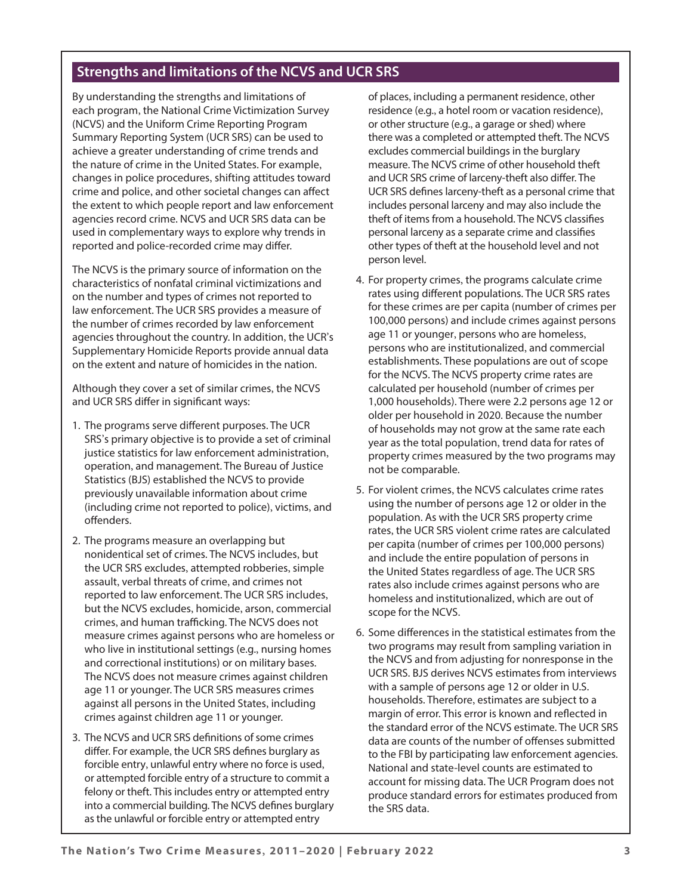# **Strengths and limitations of the NCVS and UCR SRS**

By understanding the strengths and limitations of each program, the National Crime Victimization Survey (NCVS) and the Uniform Crime Reporting Program Summary Reporting System (UCR SRS) can be used to achieve a greater understanding of crime trends and the nature of crime in the United States. For example, changes in police procedures, shifting attitudes toward crime and police, and other societal changes can affect the extent to which people report and law enforcement agencies record crime. NCVS and UCR SRS data can be used in complementary ways to explore why trends in reported and police-recorded crime may differ.

The NCVS is the primary source of information on the characteristics of nonfatal criminal victimizations and on the number and types of crimes not reported to law enforcement. The UCR SRS provides a measure of the number of crimes recorded by law enforcement agencies throughout the country. In addition, the UCR's Supplementary Homicide Reports provide annual data on the extent and nature of homicides in the nation.

Although they cover a set of similar crimes, the NCVS and UCR SRS differ in significant ways:

- 1. The programs serve different purposes. The UCR SRS's primary objective is to provide a set of criminal justice statistics for law enforcement administration, operation, and management. The Bureau of Justice Statistics (BJS) established the NCVS to provide previously unavailable information about crime (including crime not reported to police), victims, and offenders.
- 2. The programs measure an overlapping but nonidentical set of crimes. The NCVS includes, but the UCR SRS excludes, attempted robberies, simple assault, verbal threats of crime, and crimes not reported to law enforcement. The UCR SRS includes, but the NCVS excludes, homicide, arson, commercial crimes, and human trafficking. The NCVS does not measure crimes against persons who are homeless or who live in institutional settings (e.g., nursing homes and correctional institutions) or on military bases. The NCVS does not measure crimes against children age 11 or younger. The UCR SRS measures crimes against all persons in the United States, including crimes against children age 11 or younger.
- 3. The NCVS and UCR SRS definitions of some crimes differ. For example, the UCR SRS defines burglary as forcible entry, unlawful entry where no force is used, or attempted forcible entry of a structure to commit a felony or theft. This includes entry or attempted entry into a commercial building. The NCVS defines burglary as the unlawful or forcible entry or attempted entry

of places, including a permanent residence, other residence (e.g., a hotel room or vacation residence), or other structure (e.g., a garage or shed) where there was a completed or attempted theft. The NCVS excludes commercial buildings in the burglary measure. The NCVS crime of other household theft and UCR SRS crime of larceny-theft also differ. The UCR SRS defines larceny-theft as a personal crime that includes personal larceny and may also include the theft of items from a household. The NCVS classifies personal larceny as a separate crime and classifies other types of theft at the household level and not person level.

- 4. For property crimes, the programs calculate crime rates using different populations. The UCR SRS rates for these crimes are per capita (number of crimes per 100,000 persons) and include crimes against persons age 11 or younger, persons who are homeless, persons who are institutionalized, and commercial establishments. These populations are out of scope for the NCVS. The NCVS property crime rates are calculated per household (number of crimes per 1,000 households). There were 2.2 persons age 12 or older per household in 2020. Because the number of households may not grow at the same rate each year as the total population, trend data for rates of property crimes measured by the two programs may not be comparable.
- 5. For violent crimes, the NCVS calculates crime rates using the number of persons age 12 or older in the population. As with the UCR SRS property crime rates, the UCR SRS violent crime rates are calculated per capita (number of crimes per 100,000 persons) and include the entire population of persons in the United States regardless of age. The UCR SRS rates also include crimes against persons who are homeless and institutionalized, which are out of scope for the NCVS.
- 6. Some differences in the statistical estimates from the two programs may result from sampling variation in the NCVS and from adjusting for nonresponse in the UCR SRS. BJS derives NCVS estimates from interviews with a sample of persons age 12 or older in U.S. households. Therefore, estimates are subject to a margin of error. This error is known and reflected in the standard error of the NCVS estimate. The UCR SRS data are counts of the number of offenses submitted to the FBI by participating law enforcement agencies. National and state-level counts are estimated to account for missing data. The UCR Program does not produce standard errors for estimates produced from the SRS data.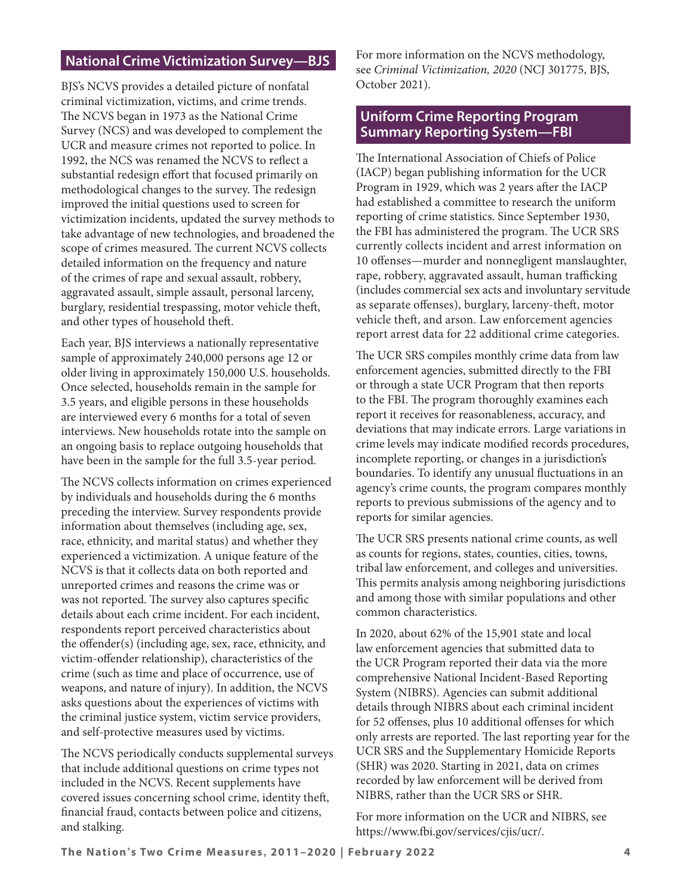# **National Crime Victimization Survey—BJS**

BJS's NCVS provides a detailed picture of nonfatal criminal victimization, victims, and crime trends. The NCVS began in 1973 as the National Crime Survey (NCS) and was developed to complement the UCR and measure crimes not reported to police. In 1992, the NCS was renamed the NCVS to reflect a substantial redesign effort that focused primarily on methodological changes to the survey. The redesign improved the initial questions used to screen for victimization incidents, updated the survey methods to take advantage of new technologies, and broadened the scope of crimes measured. The current NCVS collects detailed information on the frequency and nature of the crimes of rape and sexual assault, robbery, aggravated assault, simple assault, personal larceny, burglary, residential trespassing, motor vehicle theft, and other types of household theft.

Each year, BJS interviews a nationally representative sample of approximately 240,000 persons age 12 or older living in approximately 150,000 U.S. households. Once selected, households remain in the sample for 3.5 years, and eligible persons in these households are interviewed every 6 months for a total of seven interviews. New households rotate into the sample on an ongoing basis to replace outgoing households that have been in the sample for the full 3.5-year period.

The NCVS collects information on crimes experienced by individuals and households during the 6 months preceding the interview. Survey respondents provide information about themselves (including age, sex, race, ethnicity, and marital status) and whether they experienced a victimization. A unique feature of the NCVS is that it collects data on both reported and unreported crimes and reasons the crime was or was not reported. The survey also captures specific details about each crime incident. For each incident, respondents report perceived characteristics about the offender(s) (including age, sex, race, ethnicity, and victim-offender relationship), characteristics of the crime (such as time and place of occurrence, use of weapons, and nature of injury). In addition, the NCVS asks questions about the experiences of victims with the criminal justice system, victim service providers, and self-protective measures used by victims.

The NCVS periodically conducts supplemental surveys that include additional questions on crime types not included in the NCVS. Recent supplements have covered issues concerning school crime, identity theft, financial fraud, contacts between police and citizens, and stalking.

For more information on the NCVS methodology, see *[Criminal Victimization, 2020](https://bjs.ojp.gov/library/publications/criminal-victimization-2020)* (NCJ 301775, BJS, October 2021).

# **Uniform Crime Reporting Program Summary Reporting System—FBI**

The International Association of Chiefs of Police (IACP) began publishing information for the UCR Program in 1929, which was 2 years after the IACP had established a committee to research the uniform reporting of crime statistics. Since September 1930, the FBI has administered the program. The UCR SRS currently collects incident and arrest information on 10 offenses—murder and nonnegligent manslaughter, rape, robbery, aggravated assault, human trafficking (includes commercial sex acts and involuntary servitude as separate offenses), burglary, larceny-theft, motor vehicle theft, and arson. Law enforcement agencies report arrest data for 22 additional crime categories.

The UCR SRS compiles monthly crime data from law enforcement agencies, submitted directly to the FBI or through a state UCR Program that then reports to the FBI. The program thoroughly examines each report it receives for reasonableness, accuracy, and deviations that may indicate errors. Large variations in crime levels may indicate modified records procedures, incomplete reporting, or changes in a jurisdiction's boundaries. To identify any unusual fluctuations in an agency's crime counts, the program compares monthly reports to previous submissions of the agency and to reports for similar agencies.

The UCR SRS presents national crime counts, as well as counts for regions, states, counties, cities, towns, tribal law enforcement, and colleges and universities. This permits analysis among neighboring jurisdictions and among those with similar populations and other common characteristics.

In 2020, about 62% of the 15,901 state and local law enforcement agencies that submitted data to the UCR Program reported their data via the more comprehensive National Incident-Based Reporting System (NIBRS). Agencies can submit additional details through NIBRS about each criminal incident for 52 offenses, plus 10 additional offenses for which only arrests are reported. The last reporting year for the UCR SRS and the Supplementary Homicide Reports (SHR) was 2020. Starting in 2021, data on crimes recorded by law enforcement will be derived from NIBRS, rather than the UCR SRS or SHR.

For more information on the UCR and NIBRS, see <https://www.fbi.gov/services/cjis/ucr/>.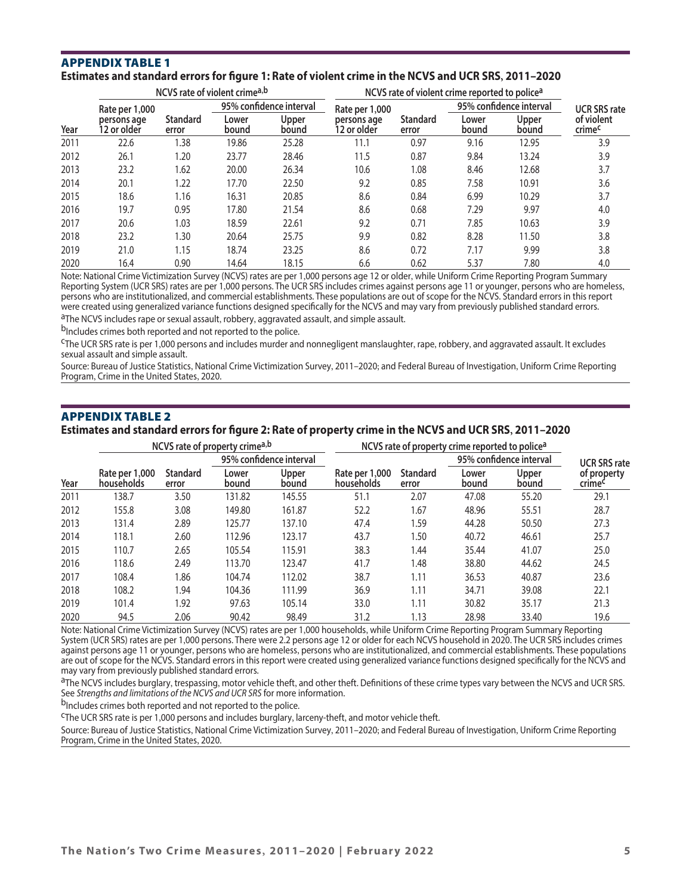#### AppeNdix tAble 1 **Estimates and standard errors for figure 1: Rate of violent crime in the NCVS and UCR SRS, 2011–2020**

|      | NCVS rate of violent crimea,b |                          |                         |                | NCVS rate of violent crime reported to police <sup>a</sup> |                   |                         |                       |                      |
|------|-------------------------------|--------------------------|-------------------------|----------------|------------------------------------------------------------|-------------------|-------------------------|-----------------------|----------------------|
|      | Rate per 1,000                |                          | 95% confidence interval |                | Rate per 1,000                                             |                   | 95% confidence interval |                       | <b>UCR SRS rate</b>  |
| Year | persons age<br>12 or older    | <b>Standard</b><br>error | Lower<br>bound          | Upper<br>bound | persons age<br>12 or older                                 | Standard<br>error | Lower<br>bound          | <b>Upper</b><br>bound | of violent<br>crimec |
| 2011 | 22.6                          | 1.38                     | 19.86                   | 25.28          | 11.1                                                       | 0.97              | 9.16                    | 12.95                 | 3.9                  |
| 2012 | 26.1                          | 1.20                     | 23.77                   | 28.46          | 11.5                                                       | 0.87              | 9.84                    | 13.24                 | 3.9                  |
| 2013 | 23.2                          | 1.62                     | 20.00                   | 26.34          | 10.6                                                       | 1.08              | 8.46                    | 12.68                 | 3.7                  |
| 2014 | 20.1                          | 1.22                     | 17.70                   | 22.50          | 9.2                                                        | 0.85              | 7.58                    | 10.91                 | 3.6                  |
| 2015 | 18.6                          | 1.16                     | 16.31                   | 20.85          | 8.6                                                        | 0.84              | 6.99                    | 10.29                 | 3.7                  |
| 2016 | 19.7                          | 0.95                     | 17.80                   | 21.54          | 8.6                                                        | 0.68              | 7.29                    | 9.97                  | 4.0                  |
| 2017 | 20.6                          | 1.03                     | 18.59                   | 22.61          | 9.2                                                        | 0.71              | 7.85                    | 10.63                 | 3.9                  |
| 2018 | 23.2                          | 1.30                     | 20.64                   | 25.75          | 9.9                                                        | 0.82              | 8.28                    | 11.50                 | 3.8                  |
| 2019 | 21.0                          | 1.15                     | 18.74                   | 23.25          | 8.6                                                        | 0.72              | 7.17                    | 9.99                  | 3.8                  |
| 2020 | 16.4                          | 0.90                     | 14.64                   | 18.15          | 6.6                                                        | 0.62              | 5.37                    | 7.80                  | 4.0                  |

Note: National Crime Victimization Survey (NCVS) rates are per 1,000 persons age 12 or older, while Uniform Crime Reporting Program Summary Reporting System (UCR SRS) rates are per 1,000 persons. The UCR SRS includes crimes against persons age 11 or younger, persons who are homeless, persons who are institutionalized, and commercial establishments. These populations are out of scope for the NCVS. Standard errors in this report were created using generalized variance functions designed specifically for the NCVS and may vary from previously published standard errors.

aThe NCVS includes rape or sexual assault, robbery, aggravated assault, and simple assault.

b<sub>Includes</sub> crimes both reported and not reported to the police.

cThe UCR SRS rate is per 1,000 persons and includes murder and nonnegligent manslaughter, rape, robbery, and aggravated assault. It excludes sexual assault and simple assault.

Source: Bureau of Justice Statistics, National Crime Victimization Survey, 2011–2020; and Federal Bureau of Investigation, Uniform Crime Reporting Program, Crime in the United States, 2020.

## AppeNdix tAble 2

#### **Estimates and standard errors for figure 2: Rate of property crime in the NCVS and UCR SRS, 2011–2020**

|      | NCVS rate of property crimea,b |                          |                         |                | NCVS rate of property crime reported to police <sup>a</sup> |                   |                         |                       |                       |
|------|--------------------------------|--------------------------|-------------------------|----------------|-------------------------------------------------------------|-------------------|-------------------------|-----------------------|-----------------------|
|      |                                |                          | 95% confidence interval |                |                                                             |                   | 95% confidence interval |                       | <b>UCR SRS rate</b>   |
| Year | Rate per 1,000<br>households   | <b>Standard</b><br>error | Lower<br>bound          | Upper<br>bound | Rate per 1,000<br>households                                | Standard<br>error | Lower<br>bound          | <b>Upper</b><br>bound | of property<br>crimec |
| 2011 | 138.7                          | 3.50                     | 131.82                  | 145.55         | 51.1                                                        | 2.07              | 47.08                   | 55.20                 | 29.1                  |
| 2012 | 155.8                          | 3.08                     | 149.80                  | 161.87         | 52.2                                                        | 1.67              | 48.96                   | 55.51                 | 28.7                  |
| 2013 | 131.4                          | 2.89                     | 125.77                  | 137.10         | 47.4                                                        | 1.59              | 44.28                   | 50.50                 | 27.3                  |
| 2014 | 118.1                          | 2.60                     | 112.96                  | 123.17         | 43.7                                                        | 1.50              | 40.72                   | 46.61                 | 25.7                  |
| 2015 | 110.7                          | 2.65                     | 105.54                  | 115.91         | 38.3                                                        | 1.44              | 35.44                   | 41.07                 | 25.0                  |
| 2016 | 118.6                          | 2.49                     | 113.70                  | 123.47         | 41.7                                                        | 1.48              | 38.80                   | 44.62                 | 24.5                  |
| 2017 | 108.4                          | 1.86                     | 104.74                  | 112.02         | 38.7                                                        | 1.11              | 36.53                   | 40.87                 | 23.6                  |
| 2018 | 108.2                          | 1.94                     | 104.36                  | 111.99         | 36.9                                                        | 1.11              | 34.71                   | 39.08                 | 22.1                  |
| 2019 | 101.4                          | 1.92                     | 97.63                   | 105.14         | 33.0                                                        | 1.11              | 30.82                   | 35.17                 | 21.3                  |
| 2020 | 94.5                           | 2.06                     | 90.42                   | 98.49          | 31.2                                                        | 1.13              | 28.98                   | 33.40                 | 19.6                  |

Note: National Crime Victimization Survey (NCVS) rates are per 1,000 households, while Uniform Crime Reporting Program Summary Reporting System (UCR SRS) rates are per 1,000 persons. There were 2.2 persons age 12 or older for each NCVS household in 2020. The UCR SRS includes crimes against persons age 11 or younger, persons who are homeless, persons who are institutionalized, and commercial establishments. These populations are out of scope for the NCVS. Standard errors in this report were created using generalized variance functions designed specifically for the NCVS and may vary from previously published standard errors.

aThe NCVS includes burglary, trespassing, motor vehicle theft, and other theft. Definitions of these crime types vary between the NCVS and UCR SRS. See *Strengths and limitations of the NCVS and UCR SRS* for more information.

b<sub>Includes</sub> crimes both reported and not reported to the police.

cThe UCR SRS rate is per 1,000 persons and includes burglary, larceny-theft, and motor vehicle theft.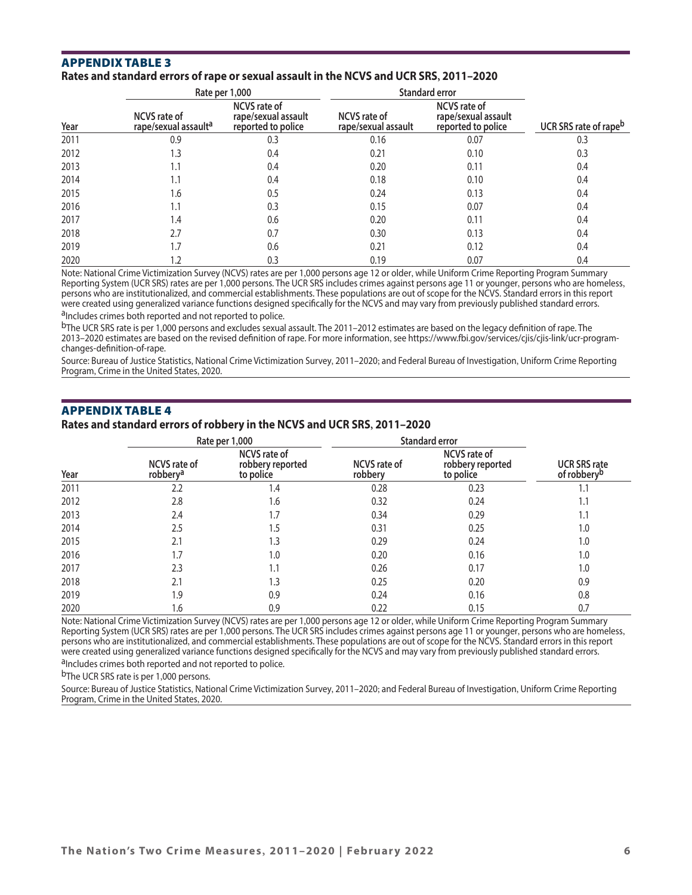## AppeNdix tAble 3

#### **Rates and standard errors of rape or sexual assault in the NCVS and UCR SRS, 2011–2020**

|      |                                                         | Rate per 1,000                                                   | <b>Standard error</b>                      |                                                                  |                                   |
|------|---------------------------------------------------------|------------------------------------------------------------------|--------------------------------------------|------------------------------------------------------------------|-----------------------------------|
| Year | <b>NCVS</b> rate of<br>rape/sexual assault <sup>a</sup> | <b>NCVS</b> rate of<br>rape/sexual assault<br>reported to police | <b>NCVS</b> rate of<br>rape/sexual assault | <b>NCVS</b> rate of<br>rape/sexual assault<br>reported to police | UCR SRS rate of rape <sup>b</sup> |
| 2011 | 0.9                                                     | 0.3                                                              | 0.16                                       | 0.07                                                             | 0.3                               |
| 2012 | 1.3                                                     | 0.4                                                              | 0.21                                       | 0.10                                                             | 0.3                               |
| 2013 | 1.1                                                     | 0.4                                                              | 0.20                                       | 0.11                                                             | 0.4                               |
| 2014 | 1.1                                                     | 0.4                                                              | 0.18                                       | 0.10                                                             | 0.4                               |
| 2015 | 1.6                                                     | 0.5                                                              | 0.24                                       | 0.13                                                             | 0.4                               |
| 2016 | 1.1                                                     | 0.3                                                              | 0.15                                       | 0.07                                                             | 0.4                               |
| 2017 | 1.4                                                     | 0.6                                                              | 0.20                                       | 0.11                                                             | 0.4                               |
| 2018 | 2.7                                                     | 0.7                                                              | 0.30                                       | 0.13                                                             | 0.4                               |
| 2019 | 1.7                                                     | 0.6                                                              | 0.21                                       | 0.12                                                             | 0.4                               |
| 2020 | 1.2                                                     | 0.3                                                              | 0.19                                       | 0.07                                                             | 0.4                               |

Note: National Crime Victimization Survey (NCVS) rates are per 1,000 persons age 12 or older, while Uniform Crime Reporting Program Summary Reporting System (UCR SRS) rates are per 1,000 persons. The UCR SRS includes crimes against persons age 11 or younger, persons who are homeless, persons who are institutionalized, and commercial establishments. These populations are out of scope for the NCVS. Standard errors in this report were created using generalized variance functions designed specifically for the NCVS and may vary from previously published standard errors. aIncludes crimes both reported and not reported to police.

 $<sup>b</sup>$ The UCR SRS rate is per 1,000 persons and excludes sexual assault. The 2011–2012 estimates are based on the legacy definition of rape. The</sup> 2013–2020 estimates are based on the revised definition of rape. For more information, see [https://www.fbi.gov/services/cjis/cjis-link/ucr-program](https://www.fbi.gov/services/cjis/cjis-link/ucr-program-changes-definition-of-rape)[changes-definition-of-rape](https://www.fbi.gov/services/cjis/cjis-link/ucr-program-changes-definition-of-rape).

Source: Bureau of Justice Statistics, National Crime Victimization Survey, 2011–2020; and Federal Bureau of Investigation, Uniform Crime Reporting Program, Crime in the United States, 2020.

## AppeNdix tAble 4

### **Rates and standard errors of robbery in the NCVS and UCR SRS, 2011–2020**

|      |                                             | Rate per 1,000                                       | <b>Standard error</b>   |                                                      |                                                |
|------|---------------------------------------------|------------------------------------------------------|-------------------------|------------------------------------------------------|------------------------------------------------|
| Year | <b>NCVS</b> rate of<br>robbery <sup>a</sup> | <b>NCVS</b> rate of<br>robbery reported<br>to police | NCVS rate of<br>robbery | <b>NCVS</b> rate of<br>robbery reported<br>to police | <b>UCR SRS rate</b><br>of robbery <sup>b</sup> |
| 2011 | 2.2                                         | 1.4                                                  | 0.28                    | 0.23                                                 |                                                |
| 2012 | 2.8                                         | 1.6                                                  | 0.32                    | 0.24                                                 | 1.1                                            |
| 2013 | 2.4                                         | 1.7                                                  | 0.34                    | 0.29                                                 | 1.1                                            |
| 2014 | 2.5                                         | 1.5                                                  | 0.31                    | 0.25                                                 | 1.0                                            |
| 2015 | 2.1                                         | 1.3                                                  | 0.29                    | 0.24                                                 | 1.0                                            |
| 2016 | 1.7                                         | 1.0                                                  | 0.20                    | 0.16                                                 | 1.0                                            |
| 2017 | 2.3                                         | 1.1                                                  | 0.26                    | 0.17                                                 | 1.0                                            |
| 2018 | 2.1                                         | 1.3                                                  | 0.25                    | 0.20                                                 | 0.9                                            |
| 2019 | 1.9                                         | 0.9                                                  | 0.24                    | 0.16                                                 | 0.8                                            |
| 2020 | 1.6                                         | 0.9                                                  | 0.22                    | 0.15                                                 | 0.7                                            |

Note: National Crime Victimization Survey (NCVS) rates are per 1,000 persons age 12 or older, while Uniform Crime Reporting Program Summary Reporting System (UCR SRS) rates are per 1,000 persons. The UCR SRS includes crimes against persons age 11 or younger, persons who are homeless, persons who are institutionalized, and commercial establishments. These populations are out of scope for the NCVS. Standard errors in this report were created using generalized variance functions designed specifically for the NCVS and may vary from previously published standard errors. aIncludes crimes both reported and not reported to police.

b<sub>The UCR</sub> SRS rate is per 1,000 persons.

Source: Bureau of Justice Statistics, National Crime Victimization Survey, 2011–2020; and Federal Bureau of Investigation, Uniform Crime Reporting

Program, Crime in the United States, 2020.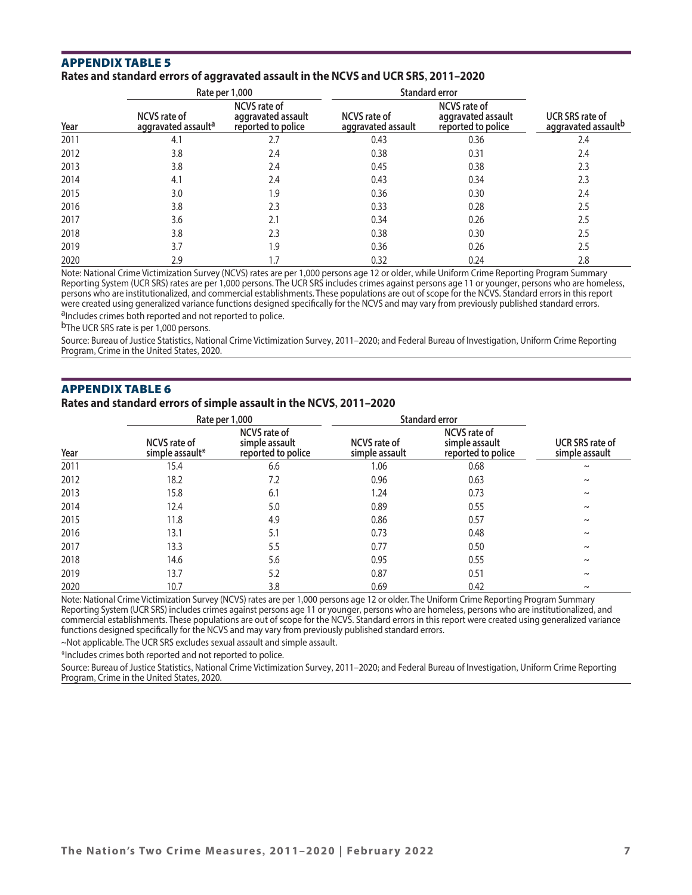## AppeNdix tAble 5

#### **Rates and standard errors of aggravated assault in the NCVS and UCR SRS, 2011–2020**

|      |                                                        | Rate per 1,000                                                  | <b>Standard error</b>                     |                                                                 |                                               |
|------|--------------------------------------------------------|-----------------------------------------------------------------|-------------------------------------------|-----------------------------------------------------------------|-----------------------------------------------|
| Year | <b>NCVS</b> rate of<br>aggravated assault <sup>a</sup> | <b>NCVS</b> rate of<br>aggravated assault<br>reported to police | <b>NCVS</b> rate of<br>aggravated assault | <b>NCVS</b> rate of<br>aggravated assault<br>reported to police | <b>UCR SRS rate of</b><br>aggravated assaultb |
| 2011 | 4.1                                                    | 2.7                                                             | 0.43                                      | 0.36                                                            | 2.4                                           |
| 2012 | 3.8                                                    | 2.4                                                             | 0.38                                      | 0.31                                                            | 2.4                                           |
| 2013 | 3.8                                                    | 2.4                                                             | 0.45                                      | 0.38                                                            | 2.3                                           |
| 2014 | 4.1                                                    | 2.4                                                             | 0.43                                      | 0.34                                                            | 2.3                                           |
| 2015 | 3.0                                                    | 1.9                                                             | 0.36                                      | 0.30                                                            | 2.4                                           |
| 2016 | 3.8                                                    | 2.3                                                             | 0.33                                      | 0.28                                                            | 2.5                                           |
| 2017 | 3.6                                                    | 2.1                                                             | 0.34                                      | 0.26                                                            | 2.5                                           |
| 2018 | 3.8                                                    | 2.3                                                             | 0.38                                      | 0.30                                                            | 2.5                                           |
| 2019 | 3.7                                                    | 1.9                                                             | 0.36                                      | 0.26                                                            | 2.5                                           |
| 2020 | 2.9                                                    | 1.7                                                             | 0.32                                      | 0.24                                                            | 2.8                                           |

Note: National Crime Victimization Survey (NCVS) rates are per 1,000 persons age 12 or older, while Uniform Crime Reporting Program Summary Reporting System (UCR SRS) rates are per 1,000 persons. The UCR SRS includes crimes against persons age 11 or younger, persons who are homeless, persons who are institutionalized, and commercial establishments. These populations are out of scope for the NCVS. Standard errors in this report were created using generalized variance functions designed specifically for the NCVS and may vary from previously published standard errors. aIncludes crimes both reported and not reported to police.

b<sub>The UCR</sub> SRS rate is per 1,000 persons.

Source: Bureau of Justice Statistics, National Crime Victimization Survey, 2011–2020; and Federal Bureau of Investigation, Uniform Crime Reporting Program, Crime in the United States, 2020.

#### AppeNdix tAble 6

#### **Rates and standard errors of simple assault in the NCVS, 2011–2020**

|      |                                        | Rate per 1,000                                              | <b>Standard error</b>          |                                                             |                                          |
|------|----------------------------------------|-------------------------------------------------------------|--------------------------------|-------------------------------------------------------------|------------------------------------------|
| Year | <b>NCVS</b> rate of<br>simple assault* | <b>NCVS</b> rate of<br>simple assault<br>reported to police | NCVS rate of<br>simple assault | <b>NCVS</b> rate of<br>simple assault<br>reported to police | <b>UCR SRS rate of</b><br>simple assault |
| 2011 | 15.4                                   | 6.6                                                         | 1.06                           | 0.68                                                        | $\sim$                                   |
| 2012 | 18.2                                   | 7.2                                                         | 0.96                           | 0.63                                                        | $\tilde{}$                               |
| 2013 | 15.8                                   | 6.1                                                         | 1.24                           | 0.73                                                        | $\tilde{}$                               |
| 2014 | 12.4                                   | 5.0                                                         | 0.89                           | 0.55                                                        | $\tilde{}$                               |
| 2015 | 11.8                                   | 4.9                                                         | 0.86                           | 0.57                                                        | $\tilde{}$                               |
| 2016 | 13.1                                   | 5.1                                                         | 0.73                           | 0.48                                                        | $\tilde{}$                               |
| 2017 | 13.3                                   | 5.5                                                         | 0.77                           | 0.50                                                        | $\tilde{}$                               |
| 2018 | 14.6                                   | 5.6                                                         | 0.95                           | 0.55                                                        | $\tilde{}$                               |
| 2019 | 13.7                                   | 5.2                                                         | 0.87                           | 0.51                                                        | $\tilde{}$                               |
| 2020 | 10.7                                   | 3.8                                                         | 0.69                           | 0.42                                                        | $\sim$                                   |

Note: National Crime Victimization Survey (NCVS) rates are per 1,000 persons age 12 or older. The Uniform Crime Reporting Program Summary Reporting System (UCR SRS) includes crimes against persons age 11 or younger, persons who are homeless, persons who are institutionalized, and commercial establishments. These populations are out of scope for the NCVS. Standard errors in this report were created using generalized variance functions designed specifically for the NCVS and may vary from previously published standard errors.

~Not applicable. The UCR SRS excludes sexual assault and simple assault.

\*Includes crimes both reported and not reported to police.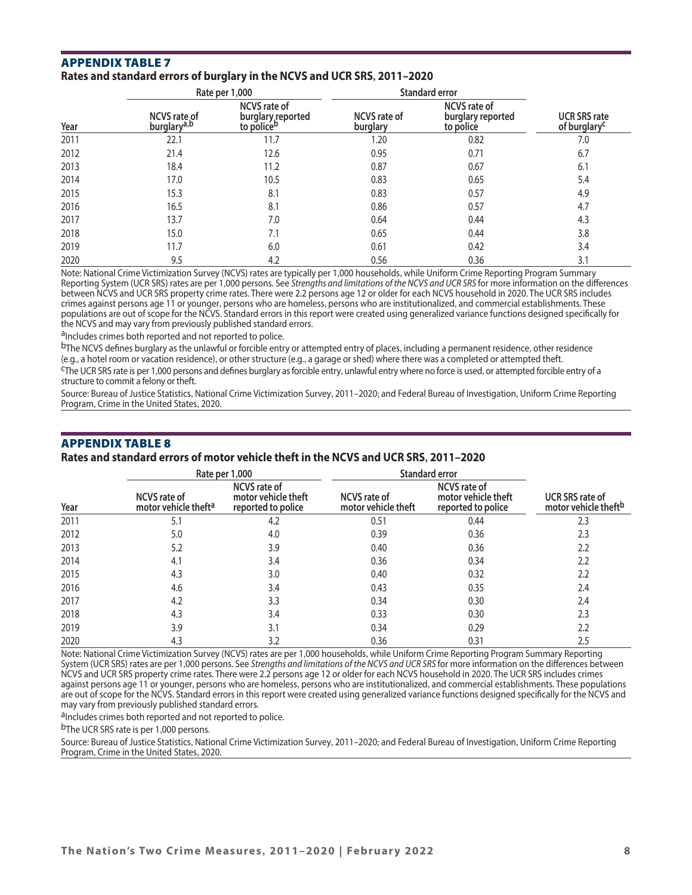#### AppeNdix tAble 7 **Rates and standard errors of burglary in the NCVS and UCR SRS, 2011–2020**

|      |                                                | Rate per 1,000                                                     | <b>Standard error</b>           |                                                       |                                                 |
|------|------------------------------------------------|--------------------------------------------------------------------|---------------------------------|-------------------------------------------------------|-------------------------------------------------|
| Year | <b>NCVS</b> rate of<br>burglary <sup>a,b</sup> | <b>NCVS rate of</b><br>burglary reported<br>to police <sup>b</sup> | <b>NCVS</b> rate of<br>burglary | <b>NCVS</b> rate of<br>burglary reported<br>to police | <b>UCR SRS rate</b><br>of burglary <sup>c</sup> |
| 2011 | 22.1                                           | 11.7                                                               | 1.20                            | 0.82                                                  | 7.0                                             |
| 2012 | 21.4                                           | 12.6                                                               | 0.95                            | 0.71                                                  | 6.7                                             |
| 2013 | 18.4                                           | 11.2                                                               | 0.87                            | 0.67                                                  | 6.1                                             |
| 2014 | 17.0                                           | 10.5                                                               | 0.83                            | 0.65                                                  | 5.4                                             |
| 2015 | 15.3                                           | 8.1                                                                | 0.83                            | 0.57                                                  | 4.9                                             |
| 2016 | 16.5                                           | 8.1                                                                | 0.86                            | 0.57                                                  | 4.7                                             |
| 2017 | 13.7                                           | 7.0                                                                | 0.64                            | 0.44                                                  | 4.3                                             |
| 2018 | 15.0                                           | 7.1                                                                | 0.65                            | 0.44                                                  | 3.8                                             |
| 2019 | 11.7                                           | 6.0                                                                | 0.61                            | 0.42                                                  | 3.4                                             |
| 2020 | 9.5                                            | 4.2                                                                | 0.56                            | 0.36                                                  | 3.1                                             |

Note: National Crime Victimization Survey (NCVS) rates are typically per 1,000 households, while Uniform Crime Reporting Program Summary Reporting System (UCR SRS) rates are per 1,000 persons. See *Strengths and limitations of the NCVS and UCR SRS* for more information on the differences between NCVS and UCR SRS property crime rates. There were 2.2 persons age 12 or older for each NCVS household in 2020. The UCR SRS includes crimes against persons age 11 or younger, persons who are homeless, persons who are institutionalized, and commercial establishments. These populations are out of scope for the NCVS. Standard errors in this report were created using generalized variance functions designed specifically for the NCVS and may vary from previously published standard errors.

aIncludes crimes both reported and not reported to police.

 $b$ The NCVS defines burglary as the unlawful or forcible entry or attempted entry of places, including a permanent residence, other residence (e.g., a hotel room or vacation residence), or other structure (e.g., a garage

<sup>C</sup>The UCR SRS rate is per 1,000 persons and defines burglary as forcible entry, unlawful entry where no force is used, or attempted forcible entry of a structure to commit a felony or theft.

Source: Bureau of Justice Statistics, National Crime Victimization Survey, 2011–2020; and Federal Bureau of Investigation, Uniform Crime Reporting Program, Crime in the United States, 2020.

# AppeNdix tAble 8 **Rates and standard errors of motor vehicle theft in the NCVS and UCR SRS, 2011–2020**

|      |                                                         | Rate per 1,000                                                   | <b>Standard error</b>                      |                                                                  |                                                            |
|------|---------------------------------------------------------|------------------------------------------------------------------|--------------------------------------------|------------------------------------------------------------------|------------------------------------------------------------|
| Year | <b>NCVS</b> rate of<br>motor vehicle theft <sup>a</sup> | <b>NCVS</b> rate of<br>motor vehicle theft<br>reported to police | <b>NCVS</b> rate of<br>motor vehicle theft | <b>NCVS</b> rate of<br>motor vehicle theft<br>reported to police | <b>UCR SRS rate of</b><br>motor vehicle theft <sup>b</sup> |
| 2011 | 5.1                                                     | 4.2                                                              | 0.51                                       | 0.44                                                             | 2.3                                                        |
| 2012 | 5.0                                                     | 4.0                                                              | 0.39                                       | 0.36                                                             | 2.3                                                        |
| 2013 | 5.2                                                     | 3.9                                                              | 0.40                                       | 0.36                                                             | 2.2                                                        |
| 2014 | 4.1                                                     | 3.4                                                              | 0.36                                       | 0.34                                                             | 2.2                                                        |
| 2015 | 4.3                                                     | 3.0                                                              | 0.40                                       | 0.32                                                             | 2.2                                                        |
| 2016 | 4.6                                                     | 3.4                                                              | 0.43                                       | 0.35                                                             | 2.4                                                        |
| 2017 | 4.2                                                     | 3.3                                                              | 0.34                                       | 0.30                                                             | 2.4                                                        |
| 2018 | 4.3                                                     | 3.4                                                              | 0.33                                       | 0.30                                                             | 2.3                                                        |
| 2019 | 3.9                                                     | 3.1                                                              | 0.34                                       | 0.29                                                             | 2.2                                                        |
| 2020 | 4.3                                                     | 3.2                                                              | 0.36                                       | 0.31                                                             | 2.5                                                        |

Note: National Crime Victimization Survey (NCVS) rates are per 1,000 households, while Uniform Crime Reporting Program Summary Reporting System (UCR SRS) rates are per 1,000 persons. See *Strengths and limitations of the NCVS and UCR SRS* for more information on the differences between NCVS and UCR SRS property crime rates. There were 2.2 persons age 12 or older for each NCVS household in 2020. The UCR SRS includes crimes against persons age 11 or younger, persons who are homeless, persons who are institutionalized, and commercial establishments. These populations are out of scope for the NCVS. Standard errors in this report were created using generalized variance functions designed specifically for the NCVS and may vary from previously published standard errors.

a<sub>Includes</sub> crimes both reported and not reported to police.

bThe UCR SRS rate is per 1,000 persons.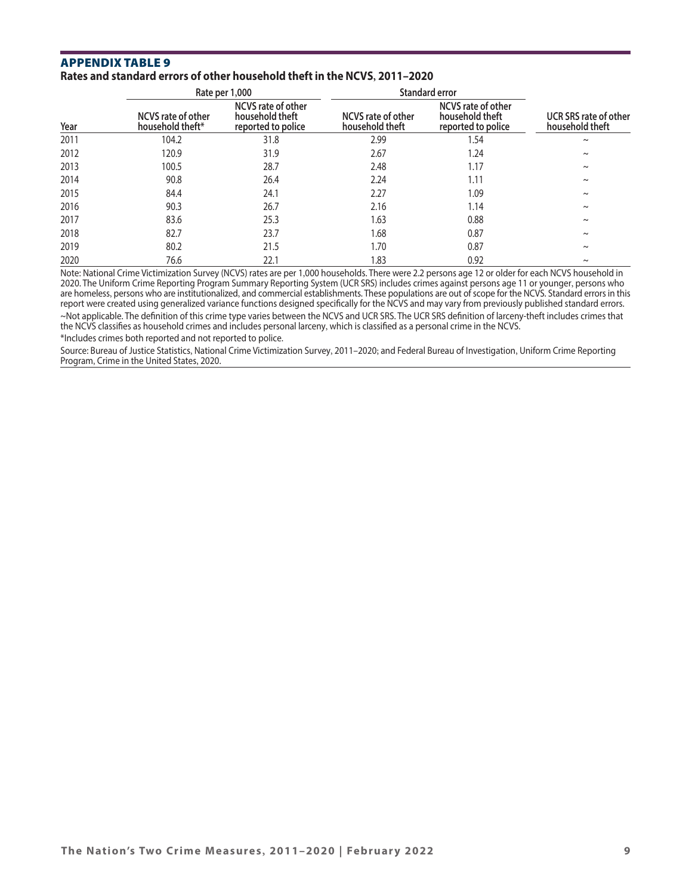#### AppeNdix tAble 9 **Rates and standard errors of other household theft in the NCVS, 2011–2020**

|      |                                        | Rate per 1,000                                                     | Standard error                               |                                                                    |                                                 |
|------|----------------------------------------|--------------------------------------------------------------------|----------------------------------------------|--------------------------------------------------------------------|-------------------------------------------------|
| Year | NCVS rate of other<br>household theft* | <b>NCVS</b> rate of other<br>household theft<br>reported to police | <b>NCVS</b> rate of other<br>household theft | <b>NCVS</b> rate of other<br>household theft<br>reported to police | <b>UCR SRS rate of other</b><br>household theft |
| 2011 | 104.2                                  | 31.8                                                               | 2.99                                         | 1.54                                                               | $\sim$                                          |
| 2012 | 120.9                                  | 31.9                                                               | 2.67                                         | 1.24                                                               | $\sim$                                          |
| 2013 | 100.5                                  | 28.7                                                               | 2.48                                         | 1.17                                                               | $\sim$                                          |
| 2014 | 90.8                                   | 26.4                                                               | 2.24                                         | 1.11                                                               | $\sim$                                          |
| 2015 | 84.4                                   | 24.1                                                               | 2.27                                         | 1.09                                                               | $\sim$                                          |
| 2016 | 90.3                                   | 26.7                                                               | 2.16                                         | 1.14                                                               | $\sim$                                          |
| 2017 | 83.6                                   | 25.3                                                               | 1.63                                         | 0.88                                                               | $\sim$                                          |
| 2018 | 82.7                                   | 23.7                                                               | 1.68                                         | 0.87                                                               | $\sim$                                          |
| 2019 | 80.2                                   | 21.5                                                               | 1.70                                         | 0.87                                                               | $\sim$                                          |
| 2020 | 76.6                                   | 22.1                                                               | 1.83                                         | 0.92                                                               | $\sim$                                          |

Note: National Crime Victimization Survey (NCVS) rates are per 1,000 households. There were 2.2 persons age 12 or older for each NCVS household in 2020. The Uniform Crime Reporting Program Summary Reporting System (UCR SRS) includes crimes against persons age 11 or younger, persons who are homeless, persons who are institutionalized, and commercial establishments. These populations are out of scope for the NCVS. Standard errors in this report were created using generalized variance functions designed specifically for the NCVS and may vary from previously published standard errors. ~Not applicable. The definition of this crime type varies between the NCVS and UCR SRS. The UCR SRS definition of larceny-theft includes crimes that the NCVS classifies as household crimes and includes personal larceny, which is classified as a personal crime in the NCVS. \*Includes crimes both reported and not reported to police.